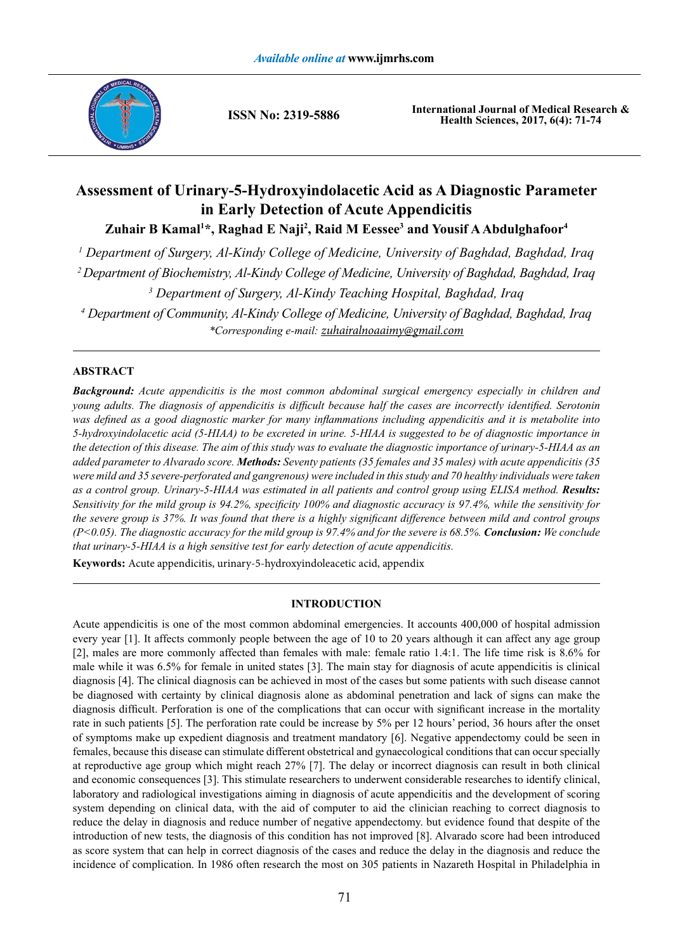

**ISSN No: 2319-5886**

**International Journal of Medical Research & Health Sciences, 2017, 6(4): 71-74**

# **Assessment of Urinary-5-Hydroxyindolacetic Acid as A Diagnostic Parameter in Early Detection of Acute Appendicitis**

Zuhair B Kamal<sup>1\*</sup>, Raghad E Naji<sup>2</sup>, Raid M Eessee<sup>3</sup> and Yousif A Abdulghafoor<sup>4</sup>

*1 Department of Surgery, Al-Kindy College of Medicine, University of Baghdad, Baghdad, Iraq*

*2 Department of Biochemistry, Al-Kindy College of Medicine, University of Baghdad, Baghdad, Iraq*

*3 Department of Surgery, Al-Kindy Teaching Hospital, Baghdad, Iraq*

*4 Department of Community, Al-Kindy College of Medicine, University of Baghdad, Baghdad, Iraq \*Corresponding e-mail: zuhairalnoaaimy@gmail.com*

# **ABSTRACT**

*Background: Acute appendicitis is the most common abdominal surgical emergency especially in children and young adults. The diagnosis of appendicitis is difficult because half the cases are incorrectly identified. Serotonin was defined as a good diagnostic marker for many inflammations including appendicitis and it is metabolite into 5-hydroxyindolacetic acid (5-HIAA) to be excreted in urine. 5-HIAA is suggested to be of diagnostic importance in the detection of this disease. The aim of this study was to evaluate the diagnostic importance of urinary-5-HIAA as an added parameter to Alvarado score. Methods: Seventy patients (35 females and 35 males) with acute appendicitis (35 were mild and 35 severe-perforated and gangrenous) were included in this study and 70 healthy individuals were taken as a control group. Urinary-5-HIAA was estimated in all patients and control group using ELISA method. Results: Sensitivity for the mild group is 94.2%, specificity 100% and diagnostic accuracy is 97.4%, while the sensitivity for the severe group is 37%. It was found that there is a highly significant difference between mild and control groups (P<0.05). The diagnostic accuracy for the mild group is 97.4% and for the severe is 68.5%. Conclusion: We conclude that urinary-5-HIAA is a high sensitive test for early detection of acute appendicitis.*

**Keywords:** Acute appendicitis, urinary-5-hydroxyindoleacetic acid, appendix

# **INTRODUCTION**

Acute appendicitis is one of the most common abdominal emergencies. It accounts 400,000 of hospital admission every year [1]. It affects commonly people between the age of 10 to 20 years although it can affect any age group [2], males are more commonly affected than females with male: female ratio 1.4:1. The life time risk is 8.6% for male while it was 6.5% for female in united states [3]. The main stay for diagnosis of acute appendicitis is clinical diagnosis [4]. The clinical diagnosis can be achieved in most of the cases but some patients with such disease cannot be diagnosed with certainty by clinical diagnosis alone as abdominal penetration and lack of signs can make the diagnosis difficult. Perforation is one of the complications that can occur with significant increase in the mortality rate in such patients [5]. The perforation rate could be increase by 5% per 12 hours' period, 36 hours after the onset of symptoms make up expedient diagnosis and treatment mandatory [6]. Negative appendectomy could be seen in females, because this disease can stimulate different obstetrical and gynaecological conditions that can occur specially at reproductive age group which might reach 27% [7]. The delay or incorrect diagnosis can result in both clinical and economic consequences [3]. This stimulate researchers to underwent considerable researches to identify clinical, laboratory and radiological investigations aiming in diagnosis of acute appendicitis and the development of scoring system depending on clinical data, with the aid of computer to aid the clinician reaching to correct diagnosis to reduce the delay in diagnosis and reduce number of negative appendectomy. but evidence found that despite of the introduction of new tests, the diagnosis of this condition has not improved [8]. Alvarado score had been introduced as score system that can help in correct diagnosis of the cases and reduce the delay in the diagnosis and reduce the incidence of complication. In 1986 often research the most on 305 patients in Nazareth Hospital in Philadelphia in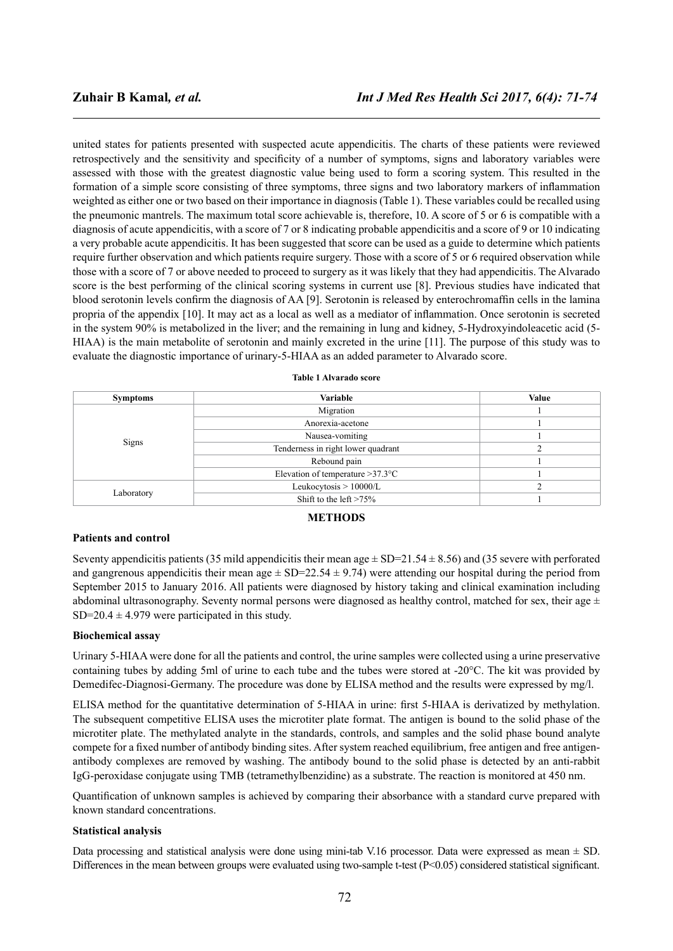united states for patients presented with suspected acute appendicitis. The charts of these patients were reviewed retrospectively and the sensitivity and specificity of a number of symptoms, signs and laboratory variables were assessed with those with the greatest diagnostic value being used to form a scoring system. This resulted in the formation of a simple score consisting of three symptoms, three signs and two laboratory markers of inflammation weighted as either one or two based on their importance in diagnosis (Table 1). These variables could be recalled using the pneumonic mantrels. The maximum total score achievable is, therefore, 10. A score of 5 or 6 is compatible with a diagnosis of acute appendicitis, with a score of 7 or 8 indicating probable appendicitis and a score of 9 or 10 indicating a very probable acute appendicitis. It has been suggested that score can be used as a guide to determine which patients require further observation and which patients require surgery. Those with a score of 5 or 6 required observation while those with a score of 7 or above needed to proceed to surgery as it was likely that they had appendicitis. The Alvarado score is the best performing of the clinical scoring systems in current use [8]. Previous studies have indicated that blood serotonin levels confirm the diagnosis of AA [9]. Serotonin is released by enterochromaffin cells in the lamina propria of the appendix [10]. It may act as a local as well as a mediator of inflammation. Once serotonin is secreted in the system 90% is metabolized in the liver; and the remaining in lung and kidney, 5-Hydroxyindoleacetic acid (5- HIAA) is the main metabolite of serotonin and mainly excreted in the urine [11]. The purpose of this study was to evaluate the diagnostic importance of urinary-5-HIAA as an added parameter to Alvarado score.

| <b>Symptoms</b> | <b>Variable</b>                     | Value |
|-----------------|-------------------------------------|-------|
| Signs           | Migration                           |       |
|                 | Anorexia-acetone                    |       |
|                 | Nausea-vomiting                     |       |
|                 | Tenderness in right lower quadrant  |       |
|                 | Rebound pain                        |       |
|                 | Elevation of temperature $>37.3$ °C |       |
| Laboratory      | Leukocytosis $> 10000/L$            |       |
|                 | Shift to the left $>75\%$           |       |

#### **Table 1 Alvarado score**

# **METHODS**

### **Patients and control**

Seventy appendicitis patients (35 mild appendicitis their mean age  $\pm$  SD=21.54  $\pm$  8.56) and (35 severe with perforated and gangrenous appendicitis their mean age  $\pm$  SD=22.54  $\pm$  9.74) were attending our hospital during the period from September 2015 to January 2016. All patients were diagnosed by history taking and clinical examination including abdominal ultrasonography. Seventy normal persons were diagnosed as healthy control, matched for sex, their age  $\pm$ SD=20.4  $\pm$  4.979 were participated in this study.

#### **Biochemical assay**

Urinary 5-HIAA were done for all the patients and control, the urine samples were collected using a urine preservative containing tubes by adding 5ml of urine to each tube and the tubes were stored at -20°C. The kit was provided by Demedifec-Diagnosi-Germany. The procedure was done by ELISA method and the results were expressed by mg/l.

ELISA method for the quantitative determination of 5-HIAA in urine: first 5-HIAA is derivatized by methylation. The subsequent competitive ELISA uses the microtiter plate format. The antigen is bound to the solid phase of the microtiter plate. The methylated analyte in the standards, controls, and samples and the solid phase bound analyte compete for a fixed number of antibody binding sites. After system reached equilibrium, free antigen and free antigenantibody complexes are removed by washing. The antibody bound to the solid phase is detected by an anti-rabbit IgG-peroxidase conjugate using TMB (tetramethylbenzidine) as a substrate. The reaction is monitored at 450 nm.

Quantification of unknown samples is achieved by comparing their absorbance with a standard curve prepared with known standard concentrations.

#### **Statistical analysis**

Data processing and statistical analysis were done using mini-tab V.16 processor. Data were expressed as mean  $\pm$  SD. Differences in the mean between groups were evaluated using two-sample t-test  $(P<0.05)$  considered statistical significant.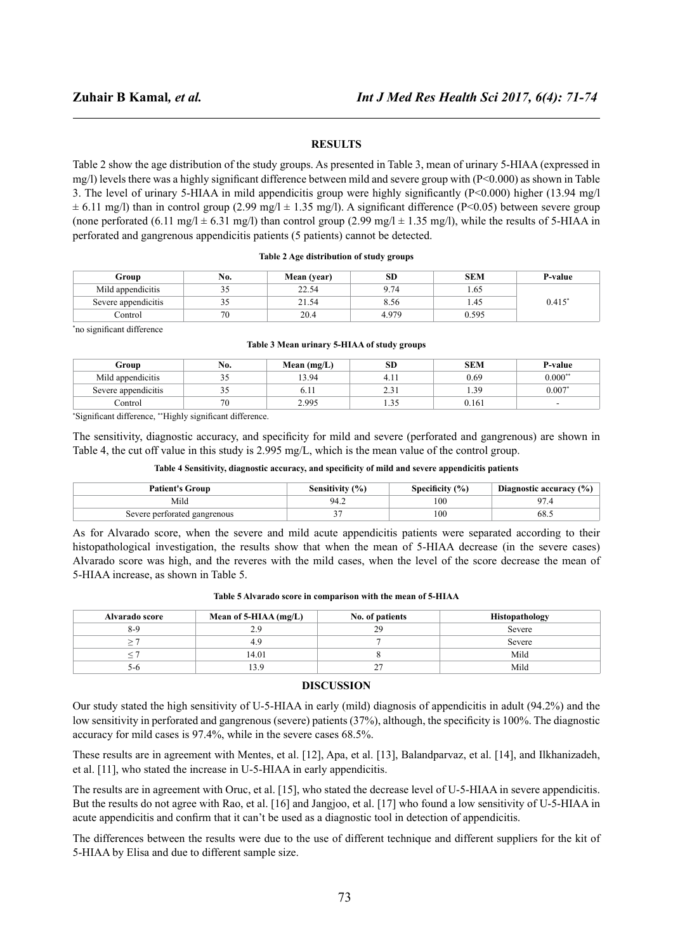# **RESULTS**

Table 2 show the age distribution of the study groups. As presented in Table 3, mean of urinary 5-HIAA (expressed in mg/l) levels there was a highly significant difference between mild and severe group with (P<0.000) as shown in Table 3. The level of urinary 5-HIAA in mild appendicitis group were highly significantly (P<0.000) higher (13.94 mg/l  $\pm$  6.11 mg/l) than in control group (2.99 mg/l  $\pm$  1.35 mg/l). A significant difference (P<0.05) between severe group (none perforated (6.11 mg/l  $\pm$  6.31 mg/l) than control group (2.99 mg/l  $\pm$  1.35 mg/l), while the results of 5-HIAA in perforated and gangrenous appendicitis patients (5 patients) cannot be detected.

#### **Table 2 Age distribution of study groups**

| Group               | N0.                      | Mean (year) | ЭIJ  | <b>SEM</b> | P-value |
|---------------------|--------------------------|-------------|------|------------|---------|
| Mild appendicitis   | ر ر                      | 22.54       | -14  | 0.03       |         |
| Severe appendicitis | ر ر                      | 21.54       | 8.56 | 1.45       | 0.415   |
| <br>Control         | $\overline{\phantom{a}}$ | 20.4        | 4979 | 0.595      |         |

\* no significant difference

#### **Table 3 Mean urinary 5-HIAA of study groups**

| Group               | No. | Mean $(mg/L)$ | SD    | <b>SEM</b> | <b>P-value</b>           |
|---------------------|-----|---------------|-------|------------|--------------------------|
| Mild appendicitis   | ້∼  | 3.94          |       | 0.69       | $0.000**$                |
| Severe appendicitis | ້∼  | $0.1 -$       | ۰. به | 1.39       | $0.007*$                 |
| Control             | 70  | 2.995         | 1.JJ  | 0.161      | $\overline{\phantom{a}}$ |

\* Significant difference, \*\*Highly significant difference.

The sensitivity, diagnostic accuracy, and specificity for mild and severe (perforated and gangrenous) are shown in Table 4, the cut off value in this study is 2.995 mg/L, which is the mean value of the control group.

#### **Table 4 Sensitivity, diagnostic accuracy, and specificity of mild and severe appendicitis patients**

| <b>Patient's Group</b>       | Sensitivity (%) | Specificity $(\% )$ | Diagnostic accuracy $(\% )$ |
|------------------------------|-----------------|---------------------|-----------------------------|
| Mild                         | 94.2            | 100                 | Q7                          |
| Severe perforated gangrenous |                 | 100                 | 68.                         |

As for Alvarado score, when the severe and mild acute appendicitis patients were separated according to their histopathological investigation, the results show that when the mean of 5-HIAA decrease (in the severe cases) Alvarado score was high, and the reveres with the mild cases, when the level of the score decrease the mean of 5-HIAA increase, as shown in Table 5.

| Alvarado score | Mean of 5-HIAA $(mg/L)$ | No. of patients | Histopathology |
|----------------|-------------------------|-----------------|----------------|
| $8-9$          | ıο                      | 29              | Severe         |
|                |                         |                 | Severe         |
|                | 14.01                   |                 | Mild           |
| n              |                         | -               | Mild           |

**Table 5 Alvarado score in comparison with the mean of 5-HIAA**

# **DISCUSSION**

Our study stated the high sensitivity of U-5-HIAA in early (mild) diagnosis of appendicitis in adult (94.2%) and the low sensitivity in perforated and gangrenous (severe) patients (37%), although, the specificity is 100%. The diagnostic accuracy for mild cases is 97.4%, while in the severe cases 68.5%.

These results are in agreement with Mentes, et al. [12], Apa, et al. [13], Balandparvaz, et al. [14], and Ilkhanizadeh, et al. [11], who stated the increase in U-5-HIAA in early appendicitis.

The results are in agreement with Oruc, et al. [15], who stated the decrease level of U-5-HIAA in severe appendicitis. But the results do not agree with Rao, et al. [16] and Jangjoo, et al. [17] who found a low sensitivity of U-5-HIAA in acute appendicitis and confirm that it can't be used as a diagnostic tool in detection of appendicitis.

The differences between the results were due to the use of different technique and different suppliers for the kit of 5-HIAA by Elisa and due to different sample size.